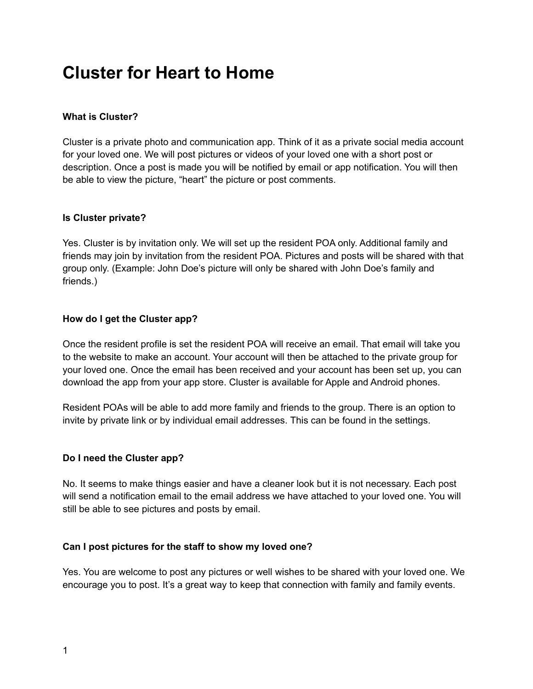# **Cluster for Heart to Home**

# **What is Cluster?**

Cluster is a private photo and communication app. Think of it as a private social media account for your loved one. We will post pictures or videos of your loved one with a short post or description. Once a post is made you will be notified by email or app notification. You will then be able to view the picture, "heart" the picture or post comments.

# **Is Cluster private?**

Yes. Cluster is by invitation only. We will set up the resident POA only. Additional family and friends may join by invitation from the resident POA. Pictures and posts will be shared with that group only. (Example: John Doe's picture will only be shared with John Doe's family and friends.)

# **How do I get the Cluster app?**

Once the resident profile is set the resident POA will receive an email. That email will take you to the website to make an account. Your account will then be attached to the private group for your loved one. Once the email has been received and your account has been set up, you can download the app from your app store. Cluster is available for Apple and Android phones.

Resident POAs will be able to add more family and friends to the group. There is an option to invite by private link or by individual email addresses. This can be found in the settings.

#### **Do I need the Cluster app?**

No. It seems to make things easier and have a cleaner look but it is not necessary. Each post will send a notification email to the email address we have attached to your loved one. You will still be able to see pictures and posts by email.

#### **Can I post pictures for the staff to show my loved one?**

Yes. You are welcome to post any pictures or well wishes to be shared with your loved one. We encourage you to post. It's a great way to keep that connection with family and family events.